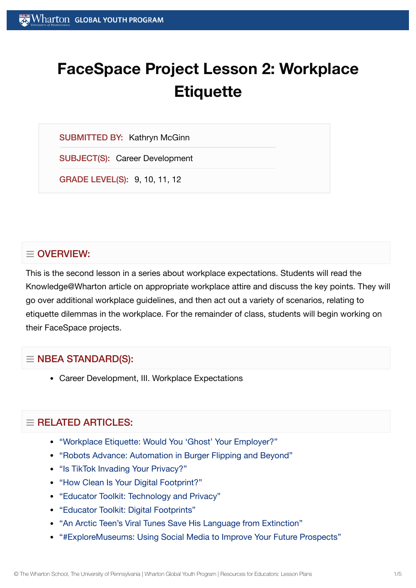# **FaceSpace Project Lesson 2: Workplace Etiquette**

SUBMITTED BY: Kathryn McGinn

SUBJECT(S): Career Development

GRADE LEVEL(S): 9, 10, 11, 12

# $\equiv$  OVERVIEW:

This is the second lesson in a series about workplace expectations. Students will read the Knowledge@Wharton article on appropriate workplace attire and discuss the key points. They will go over additional workplace guidelines, and then act out a variety of scenarios, relating to etiquette dilemmas in the workplace. For the remainder of class, students will begin working on their FaceSpace projects.

# $\equiv$  NBEA STANDARD(S):

Career Development, III. Workplace Expectations

# $=$  RELATED ARTICLES:

- "Workplace Etiquette: Would You 'Ghost' Your [Employer?"](https://globalyouth.wharton.upenn.edu/articles/ghosting-in-the-workplace/)
- ["Robots Advance:](https://globalyouth.wharton.upenn.edu/articles/robots-advance-automation-in-burger-flipping-and-beyond/) Automation in Burger Flipping and Beyond"
- ["Is TikTok](https://globalyouth.wharton.upenn.edu/articles/is-tiktok-invading-your-privacy/) Invading Your Privacy?"
- "How Clean Is Your Digital [Footprint?"](https://globalyouth.wharton.upenn.edu/articles/clean_digital_footprint/)
- "Educator Toolkit: [Technology and](https://globalyouth.wharton.upenn.edu/articles/educator-toolkit-technology-privacy/) Privacy"
- "Educator Toolkit: Digital [Footprints"](https://globalyouth.wharton.upenn.edu/articles/july-2017-digital-footprints/)
- "An Arctic Teen's Viral Tunes Save [His Language](https://globalyouth.wharton.upenn.edu/articles/arctic-teen-saves-language-extinction/) from Extinction"
- ["#ExploreMuseums:](https://globalyouth.wharton.upenn.edu/articles/using_social_media_wisely/) Using Social Media to Improve Your Future Prospects"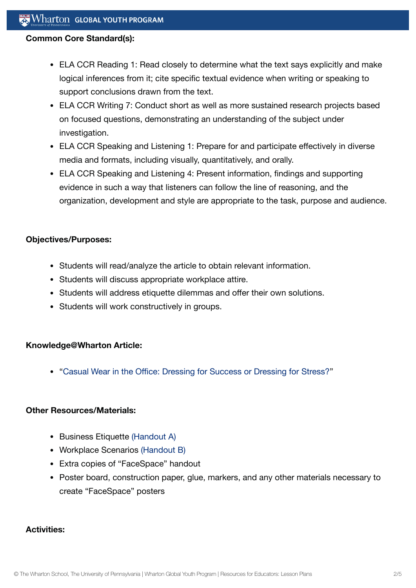#### **Common Core Standard(s):**

- ELA CCR Reading 1: Read closely to determine what the text says explicitly and make logical inferences from it; cite specific textual evidence when writing or speaking to support conclusions drawn from the text.
- ELA CCR Writing 7: Conduct short as well as more sustained research projects based on focused questions, demonstrating an understanding of the subject under investigation.
- ELA CCR Speaking and Listening 1: Prepare for and participate effectively in diverse media and formats, including visually, quantitatively, and orally.
- ELA CCR Speaking and Listening 4: Present information, findings and supporting evidence in such a way that listeners can follow the line of reasoning, and the organization, development and style are appropriate to the task, purpose and audience.

#### **Objectives/Purposes:**

- Students will read/analyze the article to obtain relevant information.
- Students will discuss appropriate workplace attire.
- Students will address etiquette dilemmas and offer their own solutions.
- Students will work constructively in groups.

#### **Knowledge@Wharton Article:**

"Casual Wear in the Office: Dressing for [Success or](http://knowledge.wharton.upenn.edu/article.cfm?articleid=194) Dressing for Stress?"

#### **Other Resources/Materials:**

- Business Etiquette [\(Handout](https://globalyouth.wharton.upenn.edu/wp-content/uploads/2012/01/Career-Development-20_handoutA.pdf) A)
- Workplace Scenarios [\(Handout](https://globalyouth.wharton.upenn.edu/wp-content/uploads/2012/01/Career-Development-20_handoutB.pdf) B)
- Extra copies of "FaceSpace" handout
- Poster board, construction paper, glue, markers, and any other materials necessary to create "FaceSpace" posters

#### **Activities:**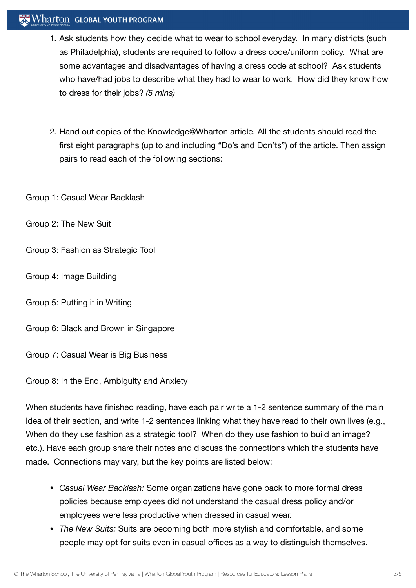## Wharton GLOBAL YOUTH PROGRAM

- 1. Ask students how they decide what to wear to school everyday. In many districts (such as Philadelphia), students are required to follow a dress code/uniform policy. What are some advantages and disadvantages of having a dress code at school? Ask students who have/had jobs to describe what they had to wear to work. How did they know how to dress for their jobs? *(5 mins)*
- 2. Hand out copies of the Knowledge@Wharton article. All the students should read the first eight paragraphs (up to and including "Do's and Don'ts") of the article. Then assign pairs to read each of the following sections:
- Group 1: Casual Wear Backlash
- Group 2: The New Suit
- Group 3: Fashion as Strategic Tool
- Group 4: Image Building
- Group 5: Putting it in Writing
- Group 6: Black and Brown in Singapore
- Group 7: Casual Wear is Big Business

Group 8: In the End, Ambiguity and Anxiety

When students have finished reading, have each pair write a 1-2 sentence summary of the main idea of their section, and write 1-2 sentences linking what they have read to their own lives (e.g., When do they use fashion as a strategic tool? When do they use fashion to build an image? etc.). Have each group share their notes and discuss the connections which the students have made. Connections may vary, but the key points are listed below:

- *Casual Wear Backlash:* Some organizations have gone back to more formal dress policies because employees did not understand the casual dress policy and/or employees were less productive when dressed in casual wear.
- *The New Suits:* Suits are becoming both more stylish and comfortable, and some people may opt for suits even in casual offices as a way to distinguish themselves.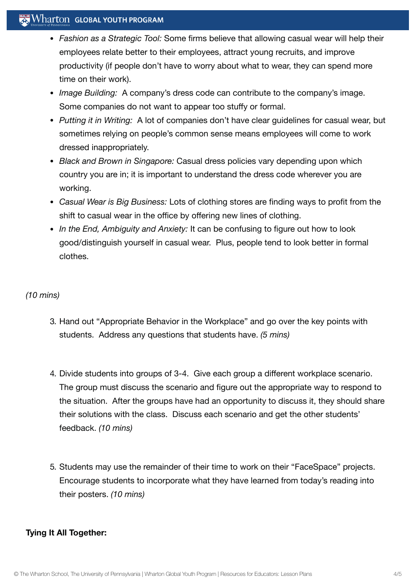## $\mathbb{R}^n$  Wharton Global Youth Program

- *Fashion as a Strategic Tool:* Some firms believe that allowing casual wear will help their employees relate better to their employees, attract young recruits, and improve productivity (if people don't have to worry about what to wear, they can spend more time on their work).
- *Image Building:* A company's dress code can contribute to the company's image. Some companies do not want to appear too stuffy or formal.
- *Putting it in Writing:* A lot of companies don't have clear guidelines for casual wear, but sometimes relying on people's common sense means employees will come to work dressed inappropriately.
- *Black and Brown in Singapore:* Casual dress policies vary depending upon which country you are in; it is important to understand the dress code wherever you are working.
- *Casual Wear is Big Business:* Lots of clothing stores are finding ways to profit from the shift to casual wear in the office by offering new lines of clothing.
- *In the End, Ambiguity and Anxiety:* It can be confusing to figure out how to look good/distinguish yourself in casual wear. Plus, people tend to look better in formal clothes.

## *(10 mins)*

- 3. Hand out "Appropriate Behavior in the Workplace" and go over the key points with students. Address any questions that students have. *(5 mins)*
- 4. Divide students into groups of 3-4. Give each group a different workplace scenario. The group must discuss the scenario and figure out the appropriate way to respond to the situation. After the groups have had an opportunity to discuss it, they should share their solutions with the class. Discuss each scenario and get the other students' feedback. *(10 mins)*
- 5. Students may use the remainder of their time to work on their "FaceSpace" projects. Encourage students to incorporate what they have learned from today's reading into their posters. *(10 mins)*

## **Tying It All Together:**